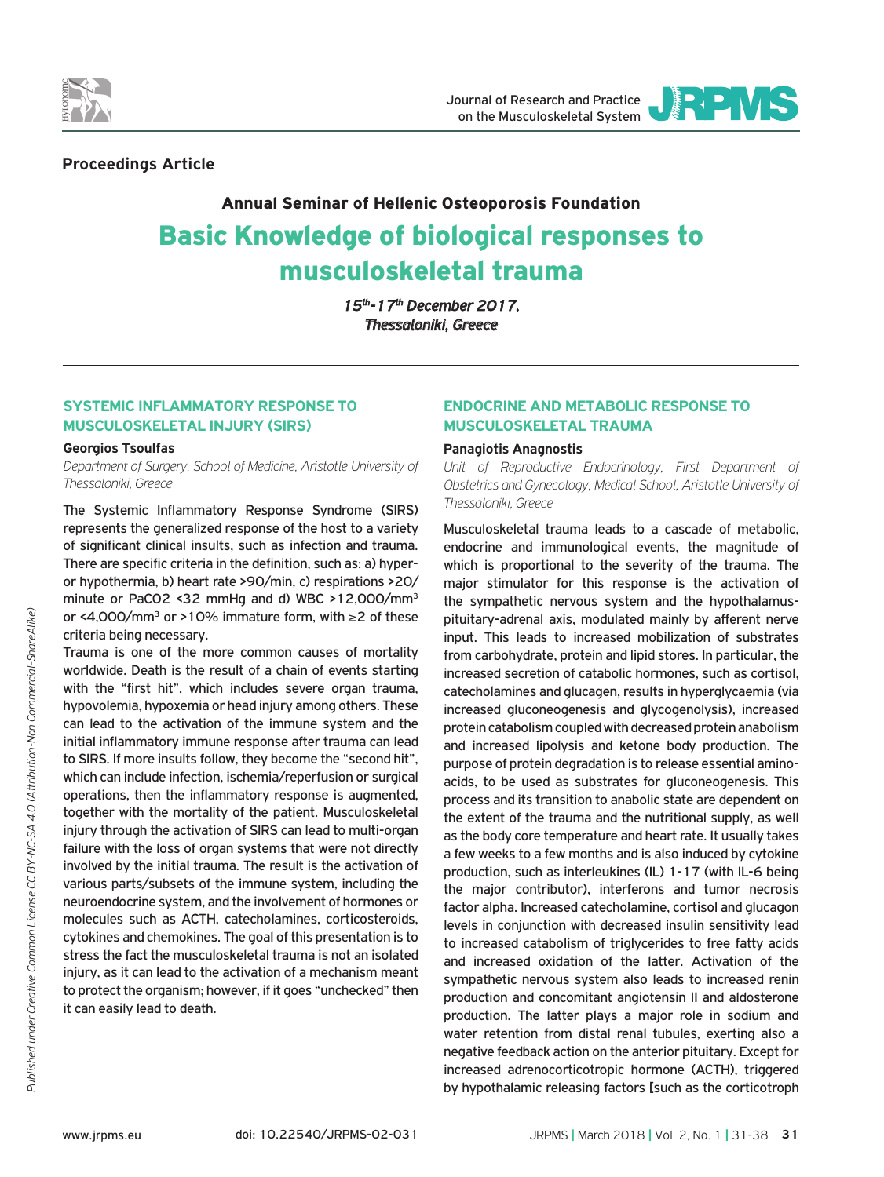



# **Proceedings Article**

# Annual Seminar of Hellenic Osteoporosis Foundation Basic Knowledge of biological responses to musculoskeletal trauma

*15th-17th December 2017, Thessaloniki, Greece*

# **Systemic Inflammatory Response to Musculoskeletal Injury (SIRS)**

### **Georgios Tsoulfas**

*Department of Surgery, School of Medicine, Aristotle University of Thessaloniki, Greece*

The Systemic Inflammatory Response Syndrome (SIRS) represents the generalized response of the host to a variety of significant clinical insults, such as infection and trauma. There are specific criteria in the definition, such as: a) hyperor hypothermia, b) heart rate >90/min, c) respirations >20/ minute or PaCO2 <32 mmHg and d) WBC >12,000/mm3 or <4,000/mm3 or >10% immature form, with ≥2 of these criteria being necessary.

Trauma is one of the more common causes of mortality worldwide. Death is the result of a chain of events starting with the "first hit", which includes severe organ trauma, hypovolemia, hypoxemia or head injury among others. These can lead to the activation of the immune system and the initial inflammatory immune response after trauma can lead to SIRS. If more insults follow, they become the "second hit", which can include infection, ischemia/reperfusion or surgical operations, then the inflammatory response is augmented, together with the mortality of the patient. Musculoskeletal injury through the activation of SIRS can lead to multi-organ failure with the loss of organ systems that were not directly involved by the initial trauma. The result is the activation of various parts/subsets of the immune system, including the neuroendocrine system, and the involvement of hormones or molecules such as ACTH, catecholamines, corticosteroids, cytokines and chemokines. The goal of this presentation is to stress the fact the musculoskeletal trauma is not an isolated injury, as it can lead to the activation of a mechanism meant to protect the organism; however, if it goes "unchecked" then it can easily lead to death.

# **Endocrine and metabolic response to musculoskeletal trauma**

### **Panagiotis Anagnostis**

*Unit of Reproductive Endocrinology, First Department of Obstetrics and Gynecology, Medical School, Aristotle University of Thessaloniki, Greece*

Musculoskeletal trauma leads to a cascade of metabolic, endocrine and immunological events, the magnitude of which is proportional to the severity of the trauma. The major stimulator for this response is the activation of the sympathetic nervous system and the hypothalamuspituitary-adrenal axis, modulated mainly by afferent nerve input. This leads to increased mobilization of substrates from carbohydrate, protein and lipid stores. In particular, the increased secretion of catabolic hormones, such as cortisol, catecholamines and glucagen, results in hyperglycaemia (via increased gluconeogenesis and glycogenolysis), increased protein catabolism coupled with decreased protein anabolism and increased lipolysis and ketone body production. The purpose of protein degradation is to release essential aminoacids, to be used as substrates for gluconeogenesis. This process and its transition to anabolic state are dependent on the extent of the trauma and the nutritional supply, as well as the body core temperature and heart rate. It usually takes a few weeks to a few months and is also induced by cytokine production, such as interleukines (IL) 1-17 (with IL-6 being the major contributor), interferons and tumor necrosis factor alpha. Increased catecholamine, cortisol and glucagon levels in conjunction with decreased insulin sensitivity lead to increased catabolism of triglycerides to free fatty acids and increased oxidation of the latter. Activation of the sympathetic nervous system also leads to increased renin production and concomitant angiotensin II and aldosterone production. The latter plays a major role in sodium and water retention from distal renal tubules, exerting also a negative feedback action on the anterior pituitary. Except for increased adrenocorticotropic hormone (ACTH), triggered by hypothalamic releasing factors [such as the corticotroph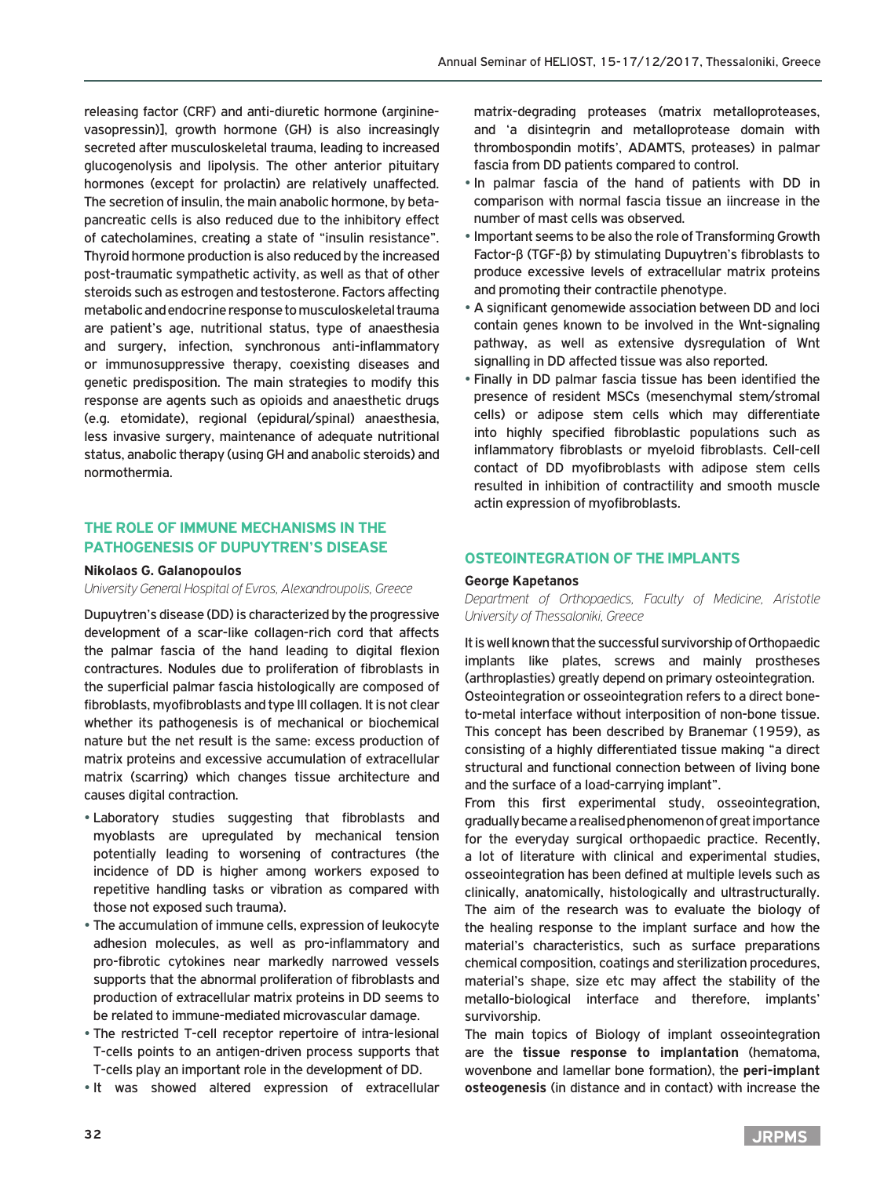releasing factor (CRF) and anti-diuretic hormone (argininevasopressin)], growth hormone (GH) is also increasingly secreted after musculoskeletal trauma, leading to increased glucogenolysis and lipolysis. The other anterior pituitary hormones (except for prolactin) are relatively unaffected. The secretion of insulin, the main anabolic hormone, by betapancreatic cells is also reduced due to the inhibitory effect of catecholamines, creating a state of "insulin resistance". Thyroid hormone production is also reduced by the increased post-traumatic sympathetic activity, as well as that of other steroids such as estrogen and testosterone. Factors affecting metabolic and endocrine response to musculoskeletal trauma are patient's age, nutritional status, type of anaesthesia and surgery, infection, synchronous anti-inflammatory or immunosuppressive therapy, coexisting diseases and genetic predisposition. The main strategies to modify this response are agents such as opioids and anaesthetic drugs (e.g. etomidate), regional (epidural/spinal) anaesthesia, less invasive surgery, maintenance of adequate nutritional status, anabolic therapy (using GH and anabolic steroids) and normothermia.

# **The role of immune mechanisms in the pathogenesis of Dupuytren's disease**

#### **Nikolaos G. Galanopoulos**

*University General Hospital of Evros, Alexandroupolis, Greece*

Dupuytren's disease (DD) is characterized by the progressive development of a scar-like collagen-rich cord that affects the palmar fascia of the hand leading to digital flexion contractures. Nodules due to proliferation of fibroblasts in the superficial palmar fascia histologically are composed of fibroblasts, myofibroblasts and type III collagen. It is not clear whether its pathogenesis is of mechanical or biochemical nature but the net result is the same: excess production of matrix proteins and excessive accumulation of extracellular matrix (scarring) which changes tissue architecture and causes digital contraction.

- Laboratory studies suggesting that fibroblasts and myoblasts are upregulated by mechanical tension potentially leading to worsening of contractures (the incidence of DD is higher among workers exposed to repetitive handling tasks or vibration as compared with those not exposed such trauma).
- The accumulation of immune cells, expression of leukocyte adhesion molecules, as well as pro-inflammatory and pro-fibrotic cytokines near markedly narrowed vessels supports that the abnormal proliferation of fibroblasts and production of extracellular matrix proteins in DD seems to be related to immune-mediated microvascular damage.
- The restricted T-cell receptor repertoire of intra-lesional T-cells points to an antigen-driven process supports that T-cells play an important role in the development of DD.
- It was showed altered expression of extracellular

matrix-degrading proteases (matrix metalloproteases, and 'a disintegrin and metalloprotease domain with thrombospondin motifs', ADAMTS, proteases) in palmar fascia from DD patients compared to control.

- In palmar fascia of the hand of patients with DD in comparison with normal fascia tissue an iincrease in the number of mast cells was observed.
- Important seems to be also the role of Transforming Growth Factor-β (TGF-β) by stimulating Dupuytren's fibroblasts to produce excessive levels of extracellular matrix proteins and promoting their contractile phenotype.
- A significant genomewide association between DD and loci contain genes known to be involved in the Wnt-signaling pathway, as well as extensive dysregulation of Wnt signalling in DD affected tissue was also reported.
- Finally in DD palmar fascia tissue has been identified the presence of resident MSCs (mesenchymal stem/stromal cells) or adipose stem cells which may differentiate into highly specified fibroblastic populations such as inflammatory fibroblasts or myeloid fibroblasts. Cell-cell contact of DD myofibroblasts with adipose stem cells resulted in inhibition of contractility and smooth muscle actin expression of myofibroblasts.

### **OSTEOINTEGRATION OF THE IMPLANTS**

#### **George Kapetanos**

*Department of Orthopaedics, Faculty of Medicine, Aristotle University of Thessaloniki, Greece*

It is well known that the successful survivorship of Orthopaedic implants like plates, screws and mainly prostheses (arthroplasties) greatly depend on primary osteointegration. Osteointegration or osseointegration refers to a direct boneto-metal interface without interposition of non-bone tissue. This concept has been described by Branemar (1959), as consisting of a highly differentiated tissue making "a direct structural and functional connection between of living bone and the surface of a load-carrying implant".

From this first experimental study, osseointegration, gradually became a realised phenomenon of great importance for the everyday surgical orthopaedic practice. Recently, a lot of literature with clinical and experimental studies, osseointegration has been defined at multiple levels such as clinically, anatomically, histologically and ultrastructurally. The aim of the research was to evaluate the biology of the healing response to the implant surface and how the material's characteristics, such as surface preparations chemical composition, coatings and sterilization procedures, material's shape, size etc may affect the stability of the metallo-biological interface and therefore, implants' survivorship.

The main topics of Biology of implant osseointegration are the **tissue response to implantation** (hematoma, wovenbone and lamellar bone formation), the **peri-implant osteogenesis** (in distance and in contact) with increase the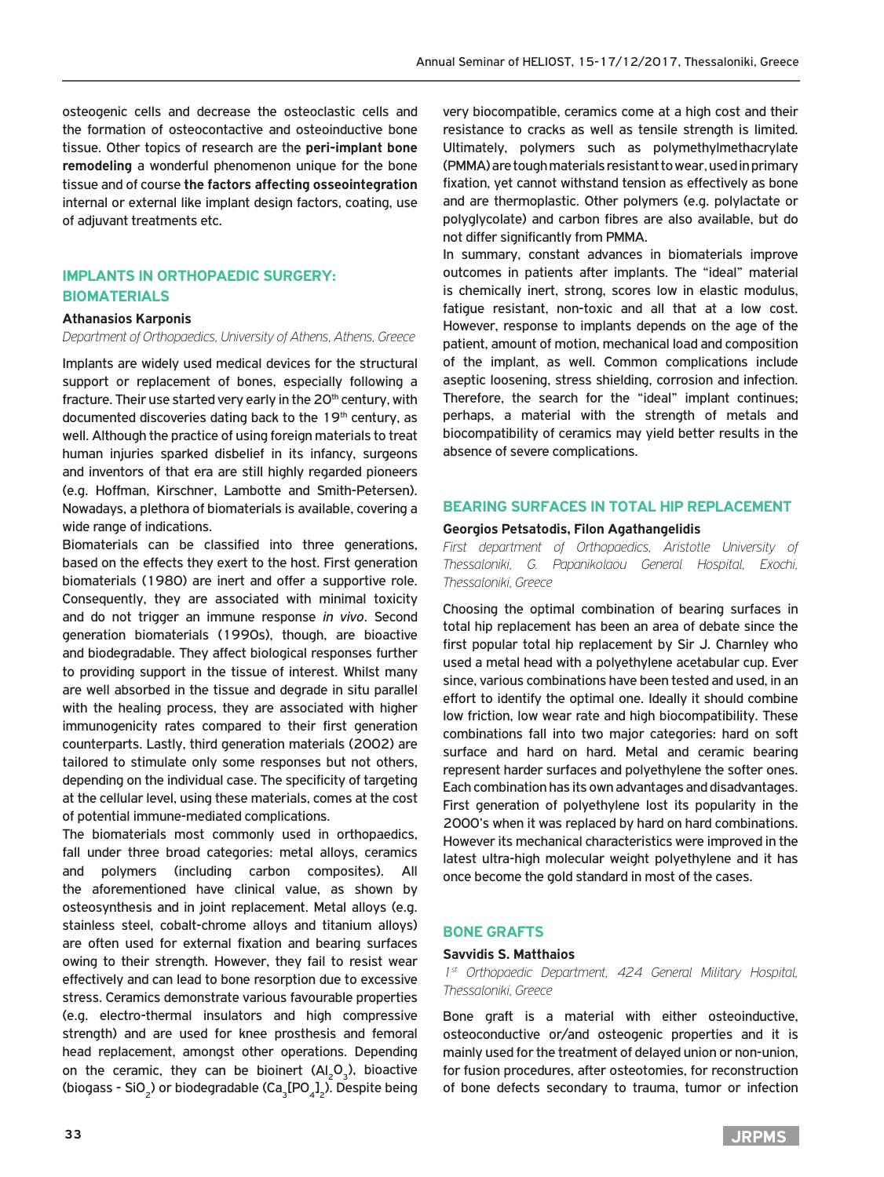osteogenic cells and decrease the osteoclastic cells and the formation of osteocontactive and osteoinductive bone tissue. Other topics of research are the **peri-implant bone remodeling** a wonderful phenomenon unique for the bone tissue and of course **the factors affecting osseointegration** internal or external like implant design factors, coating, use of adjuvant treatments etc.

# **Implants in orthopaedic surgery: biomaterials**

#### **Athanasios Karponis**

*Department of Orthopaedics, University of Athens, Athens, Greece*

Implants are widely used medical devices for the structural support or replacement of bones, especially following a fracture. Their use started very early in the 20<sup>th</sup> century, with documented discoveries dating back to the 19<sup>th</sup> century, as well. Although the practice of using foreign materials to treat human injuries sparked disbelief in its infancy, surgeons and inventors of that era are still highly regarded pioneers (e.g. Hoffman, Kirschner, Lambotte and Smith-Petersen). Nowadays, a plethora of biomaterials is available, covering a wide range of indications.

Biomaterials can be classified into three generations, based on the effects they exert to the host. First generation biomaterials (1980) are inert and offer a supportive role. Consequently, they are associated with minimal toxicity and do not trigger an immune response *in vivo*. Second generation biomaterials (1990s), though, are bioactive and biodegradable. They affect biological responses further to providing support in the tissue of interest. Whilst many are well absorbed in the tissue and degrade in situ parallel with the healing process, they are associated with higher immunogenicity rates compared to their first generation counterparts. Lastly, third generation materials (2002) are tailored to stimulate only some responses but not others, depending on the individual case. The specificity of targeting at the cellular level, using these materials, comes at the cost of potential immune-mediated complications.

The biomaterials most commonly used in orthopaedics, fall under three broad categories: metal alloys, ceramics and polymers (including carbon composites). All the aforementioned have clinical value, as shown by osteosynthesis and in joint replacement. Metal alloys (e.g. stainless steel, cobalt-chrome alloys and titanium alloys) are often used for external fixation and bearing surfaces owing to their strength. However, they fail to resist wear effectively and can lead to bone resorption due to excessive stress. Ceramics demonstrate various favourable properties (e.g. electro-thermal insulators and high compressive strength) and are used for knee prosthesis and femoral head replacement, amongst other operations. Depending on the ceramic, they can be bioinert  $(A|_2O_2)$ , bioactive (biogass - SiO<sub>2</sub>) or biodegradable (Ca<sub>3</sub>[PO<sub>4</sub>]<sub>2</sub>). Despite being very biocompatible, ceramics come at a high cost and their resistance to cracks as well as tensile strength is limited. Ultimately, polymers such as polymethylmethacrylate (PMMA) are tough materials resistant to wear, used in primary fixation, yet cannot withstand tension as effectively as bone and are thermoplastic. Other polymers (e.g. polylactate or polyglycolate) and carbon fibres are also available, but do not differ significantly from PMMA.

In summary, constant advances in biomaterials improve outcomes in patients after implants. The "ideal" material is chemically inert, strong, scores low in elastic modulus, fatigue resistant, non-toxic and all that at a low cost. However, response to implants depends on the age of the patient, amount of motion, mechanical load and composition of the implant, as well. Common complications include aseptic loosening, stress shielding, corrosion and infection. Therefore, the search for the "ideal" implant continues; perhaps, a material with the strength of metals and biocompatibility of ceramics may yield better results in the absence of severe complications.

#### **Bearing surfaces in total hip replacement**

#### **Georgios Petsatodis, Filon Agathangelidis**

*First department of Orthopaedics, Aristotle University of Thessaloniki, G. Papanikolaou General Hospital, Exochi, Thessaloniki, Greece*

Choosing the optimal combination of bearing surfaces in total hip replacement has been an area of debate since the first popular total hip replacement by Sir J. Charnley who used a metal head with a polyethylene acetabular cup. Ever since, various combinations have been tested and used, in an effort to identify the optimal one. Ideally it should combine low friction, low wear rate and high biocompatibility. These combinations fall into two major categories: hard on soft surface and hard on hard. Metal and ceramic bearing represent harder surfaces and polyethylene the softer ones. Each combination has its own advantages and disadvantages. First generation of polyethylene lost its popularity in the 2000's when it was replaced by hard on hard combinations. However its mechanical characteristics were improved in the latest ultra-high molecular weight polyethylene and it has once become the gold standard in most of the cases.

### **Bone Grafts**

#### **Savvidis S. Matthaios**

*1st Orthopaedic Department, 424 General Military Hospital, Thessaloniki, Greece*

Bone graft is a material with either osteoinductive, osteoconductive or/and osteogenic properties and it is mainly used for the treatment of delayed union or non-union, for fusion procedures, after osteotomies, for reconstruction of bone defects secondary to trauma, tumor or infection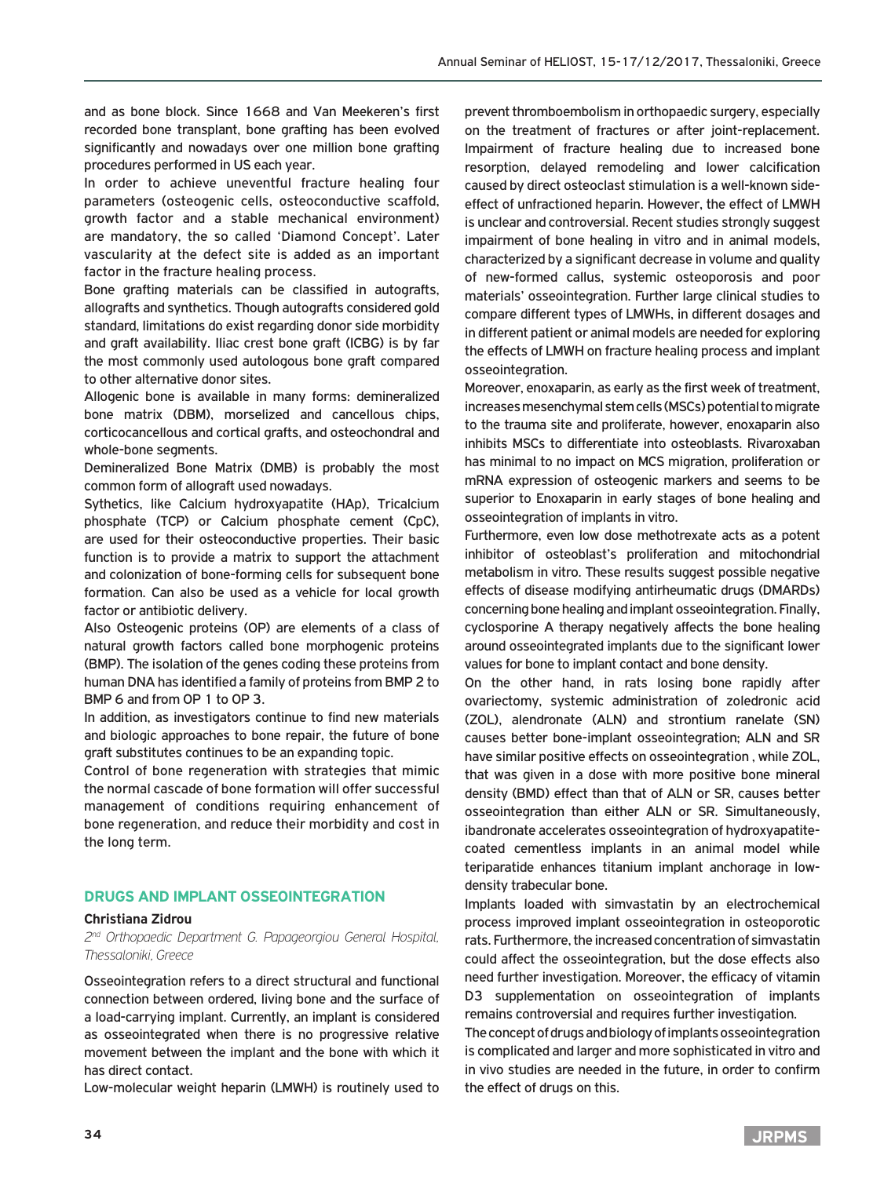and as bone block. Since 1668 and Van Meekeren's first recorded bone transplant, bone grafting has been evolved significantly and nowadays over one million bone grafting procedures performed in US each year.

Ιn order to achieve uneventful fracture healing four parameters (osteogenic cells, osteoconductive scaffold, growth factor and a stable mechanical environment) are mandatory, the so called 'Diamond Concept'. Later vascularity at the defect site is added as an important factor in the fracture healing process.

Bone grafting materials can be classified in autografts, allografts and synthetics. Though autografts considered gold standard, limitations do exist regarding donor side morbidity and graft availability. Iliac crest bone graft (ICBG) is by far the most commonly used autologous bone graft compared to other alternative donor sites.

Allogenic bone is available in many forms: demineralized bone matrix (DBM), morselized and cancellous chips, corticocancellous and cortical grafts, and osteochondral and whole-bone segments.

Demineralized Bone Matrix (DMB) is probably the most common form of allograft used nowadays.

Sythetics, like Calcium hydroxyapatite (HAp), Tricalcium phosphate (TCP) or Calcium phosphate cement (CpC), are used for their osteoconductive properties. Their basic function is to provide a matrix to support the attachment and colonization of bone-forming cells for subsequent bone formation. Can also be used as a vehicle for local growth factor or antibiotic delivery.

Also Osteogenic proteins (OP) are elements of a class of natural growth factors called bone morphogenic proteins (BMP). The isolation of the genes coding these proteins from human DNA has identified a family of proteins from BMP 2 to BMP 6 and from OP 1 to OP 3.

In addition, as investigators continue to find new materials and biologic approaches to bone repair, the future of bone graft substitutes continues to be an expanding topic.

Control of bone regeneration with strategies that mimic the normal cascade of bone formation will offer successful management of conditions requiring enhancement of bone regeneration, and reduce their morbidity and cost in the long term.

## **Drugs and Implant Osseointegration**

#### **Christiana Zidrou**

*2nd Orthopaedic Department G. Papageorgiou General Hospital, Thessaloniki, Greece*

Osseointegration refers to a direct structural and functional connection between ordered, living bone and the surface of a load-carrying implant. Currently, an implant is considered as osseointegrated when there is no progressive relative movement between the implant and the bone with which it has direct contact.

Low-molecular weight heparin (LMWH) is routinely used to

prevent thromboembolism in orthopaedic surgery, especially on the treatment of fractures or after joint-replacement. Impairment of fracture healing due to increased bone resorption, delayed remodeling and lower calcification caused by direct osteoclast stimulation is a well-known sideeffect of unfractioned heparin. However, the effect of LMWH is unclear and controversial. Recent studies strongly suggest impairment of bone healing in vitro and in animal models, characterized by a significant decrease in volume and quality of new-formed callus, systemic osteoporosis and poor materials' osseointegration. Further large clinical studies to compare different types of LMWHs, in different dosages and in different patient or animal models are needed for exploring the effects of LMWH on fracture healing process and implant osseointegration.

Moreover, enoxaparin, as early as the first week of treatment, increases mesenchymal stem cells (MSCs) potential to migrate to the trauma site and proliferate, however, enoxaparin also inhibits MSCs to differentiate into osteoblasts. Rivaroxaban has minimal to no impact on MCS migration, proliferation or mRNA expression of osteogenic markers and seems to be superior to Enoxaparin in early stages of bone healing and osseointegration of implants in vitro.

Furthermore, even low dose methotrexate acts as a potent inhibitor of osteoblast's proliferation and mitochondrial metabolism in vitro. These results suggest possible negative effects of disease modifying antirheumatic drugs (DMARDs) concerning bone healing and implant osseointegration. Finally, cyclosporine A therapy negatively affects the bone healing around osseointegrated implants due to the significant lower values for bone to implant contact and bone density.

On the other hand, in rats losing bone rapidly after ovariectomy, systemic administration of zoledronic acid (ZOL), alendronate (ALN) and strontium ranelate (SN) causes better bone-implant osseointegration; ALN and SR have similar positive effects on osseointegration , while ZOL, that was given in a dose with more positive bone mineral density (BMD) effect than that of ALN or SR, causes better osseointegration than either ALN or SR. Simultaneously, ibandronate accelerates osseointegration of hydroxyapatitecoated cementless implants in an animal model while teriparatide enhances titanium implant anchorage in lowdensity trabecular bone.

Implants loaded with simvastatin by an electrochemical process improved implant osseointegration in osteoporotic rats. Furthermore, the increased concentration of simvastatin could affect the osseointegration, but the dose effects also need further investigation. Moreover, the efficacy of vitamin D3 supplementation on osseointegration of implants remains controversial and requires further investigation.

The concept of drugs and biology of implants osseointegration is complicated and larger and more sophisticated in vitro and in vivo studies are needed in the future, in order to confirm the effect of drugs on this.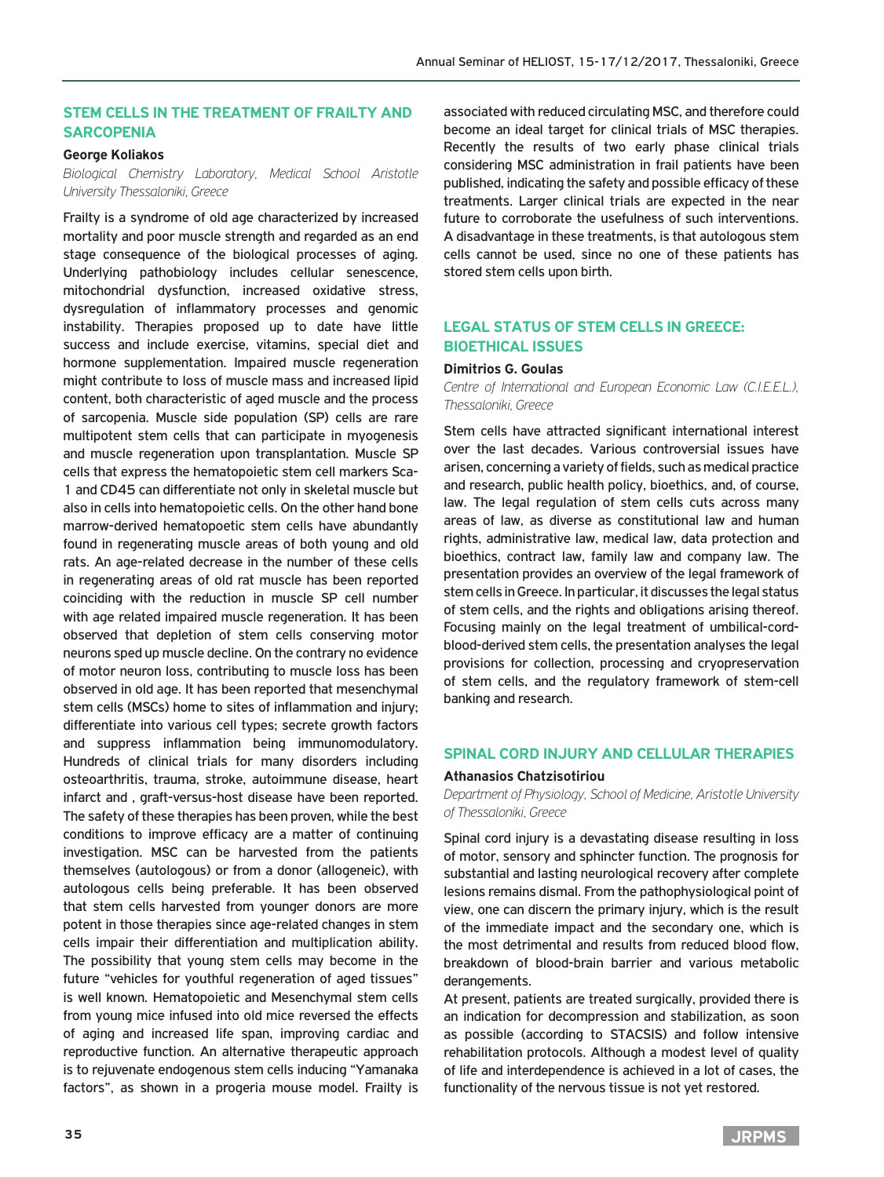# **Stem cells in the treatment of frailty and sarcopenia**

### **George Koliakos**

*Biological Chemistry Laboratory, Medical School Aristotle University Thessaloniki, Greece*

Frailty is a syndrome of old age characterized by increased mortality and poor muscle strength and regarded as an end stage consequence of the biological processes of aging. Underlying pathobiology includes cellular senescence, mitochondrial dysfunction, increased oxidative stress, dysregulation of inflammatory processes and genomic instability. Therapies proposed up to date have little success and include exercise, vitamins, special diet and hormone supplementation. Impaired muscle regeneration might contribute to loss of muscle mass and increased lipid content, both characteristic of aged muscle and the process of sarcopenia. Muscle side population (SP) cells are rare multipotent stem cells that can participate in myogenesis and muscle regeneration upon transplantation. Muscle SP cells that express the hematopoietic stem cell markers Sca-1 and CD45 can differentiate not only in skeletal muscle but also in cells into hematopoietic cells. On the other hand bone marrow-derived hematopoetic stem cells have abundantly found in regenerating muscle areas of both young and old rats. An age-related decrease in the number of these cells in regenerating areas of old rat muscle has been reported coinciding with the reduction in muscle SP cell number with age related impaired muscle regeneration. It has been observed that depletion of stem cells conserving motor neurons sped up muscle decline. On the contrary no evidence of motor neuron loss, contributing to muscle loss has been observed in old age. It has been reported that mesenchymal stem cells (MSCs) home to sites of inflammation and injury; differentiate into various cell types; secrete growth factors and suppress inflammation being immunomodulatory. Hundreds of clinical trials for many disorders including osteoarthritis, trauma, stroke, autoimmune disease, heart infarct and , graft-versus-host disease have been reported. The safety of these therapies has been proven, while the best conditions to improve efficacy are a matter of continuing investigation. MSC can be harvested from the patients themselves (autologous) or from a donor (allogeneic), with autologous cells being preferable. It has been observed that stem cells harvested from younger donors are more potent in those therapies since age-related changes in stem cells impair their differentiation and multiplication ability. The possibility that young stem cells may become in the future "vehicles for youthful regeneration of aged tissues" is well known. Hematopoietic and Mesenchymal stem cells from young mice infused into old mice reversed the effects of aging and increased life span, improving cardiac and reproductive function. An alternative therapeutic approach is to rejuvenate endogenous stem cells inducing "Yamanaka factors", as shown in a progeria mouse model. Frailty is

associated with reduced circulating MSC, and therefore could become an ideal target for clinical trials of MSC therapies. Recently the results of two early phase clinical trials considering MSC administration in frail patients have been published, indicating the safety and possible efficacy of these treatments. Larger clinical trials are expected in the near future to corroborate the usefulness of such interventions. A disadvantage in these treatments, is that autologous stem cells cannot be used, since no one of these patients has stored stem cells upon birth.

# **Legal status of stem cells in Greece: Bioethical issues**

#### **Dimitrios G. Goulas**

*Centre of International and European Economic Law (C.I.E.E.L.), Thessaloniki, Greece*

Stem cells have attracted significant international interest over the last decades. Various controversial issues have arisen, concerning a variety of fields, such as medical practice and research, public health policy, bioethics, and, of course, law. The legal regulation of stem cells cuts across many areas of law, as diverse as constitutional law and human rights, administrative law, medical law, data protection and bioethics, contract law, family law and company law. The presentation provides an overview of the legal framework of stem cells in Greece. In particular, it discusses the legal status of stem cells, and the rights and obligations arising thereof. Focusing mainly on the legal treatment of umbilical-cordblood-derived stem cells, the presentation analyses the legal provisions for collection, processing and cryopreservation of stem cells, and the regulatory framework of stem-cell banking and research.

### **SPINAL CORD INJURY AND CELLULAR THERAPIES**

#### **Athanasios Chatzisotiriou**

*Department of Physiology, School of Medicine, Aristotle University of Thessaloniki, Greece*

Spinal cord injury is a devastating disease resulting in loss of motor, sensory and sphincter function. The prognosis for substantial and lasting neurological recovery after complete lesions remains dismal. From the pathophysiological point of view, one can discern the primary injury, which is the result of the immediate impact and the secondary one, which is the most detrimental and results from reduced blood flow, breakdown of blood-brain barrier and various metabolic derangements.

At present, patients are treated surgically, provided there is an indication for decompression and stabilization, as soon as possible (according to STACSIS) and follow intensive rehabilitation protocols. Although a modest level of quality of life and interdependence is achieved in a lot of cases, the functionality of the nervous tissue is not yet restored.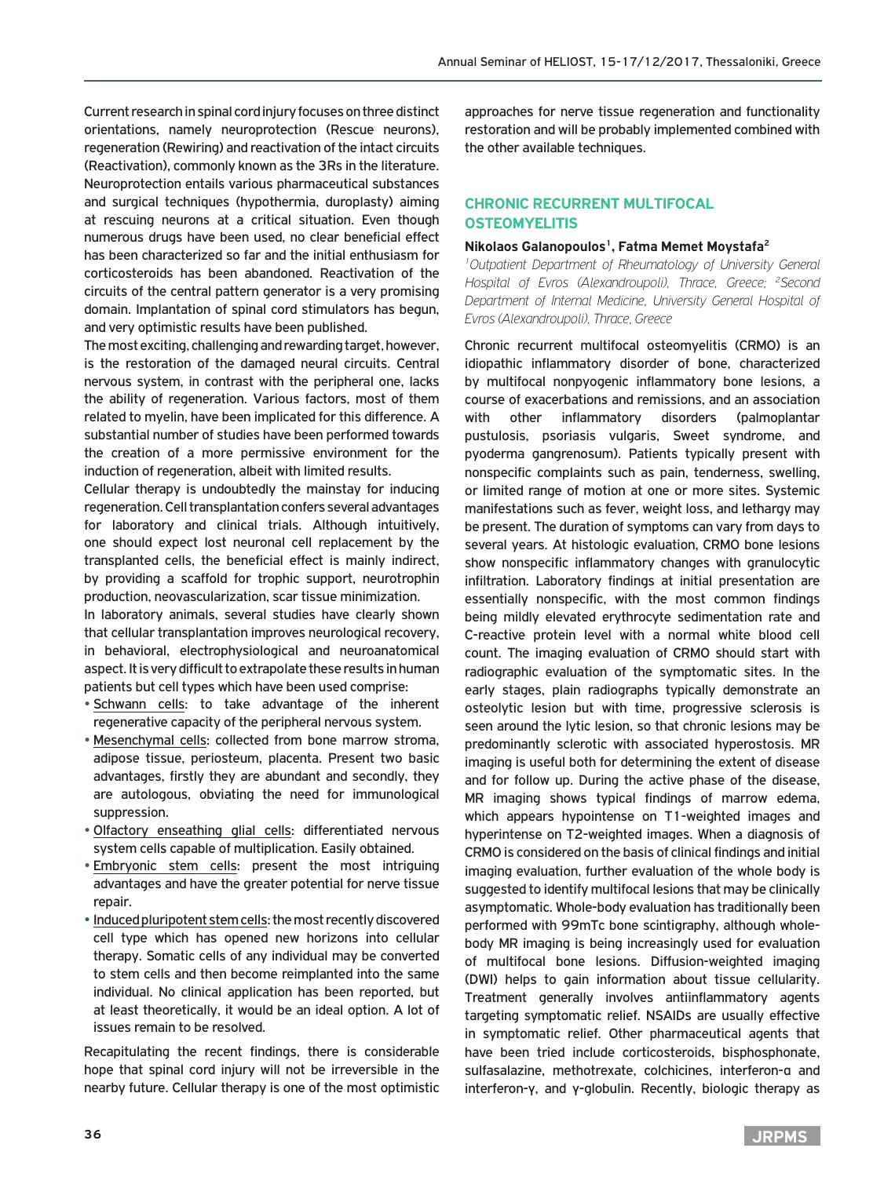Current research in spinal cord injury focuses on three distinct orientations, namely neuroprotection (Rescue neurons), regeneration (Rewiring) and reactivation of the intact circuits (Reactivation), commonly known as the 3Rs in the literature. Neuroprotection entails various pharmaceutical substances and surgical techniques (hypothermia, duroplasty) aiming at rescuing neurons at a critical situation. Even though numerous drugs have been used, no clear beneficial effect has been characterized so far and the initial enthusiasm for corticosteroids has been abandoned. Reactivation of the circuits of the central pattern generator is a very promising domain. Implantation of spinal cord stimulators has begun, and very optimistic results have been published.

The most exciting, challenging and rewarding target, however, is the restoration of the damaged neural circuits. Central nervous system, in contrast with the peripheral one, lacks the ability of regeneration. Various factors, most of them related to myelin, have been implicated for this difference. A substantial number of studies have been performed towards the creation of a more permissive environment for the induction of regeneration, albeit with limited results.

Cellular therapy is undoubtedly the mainstay for inducing regeneration. Cell transplantation confers several advantages for laboratory and clinical trials. Although intuitively, one should expect lost neuronal cell replacement by the transplanted cells, the beneficial effect is mainly indirect, by providing a scaffold for trophic support, neurotrophin production, neovascularization, scar tissue minimization.

In laboratory animals, several studies have clearly shown that cellular transplantation improves neurological recovery, in behavioral, electrophysiological and neuroanatomical aspect. It is very difficult to extrapolate these results in human patients but cell types which have been used comprise:

- Schwann cells: to take advantage of the inherent regenerative capacity of the peripheral nervous system.
- Mesenchymal cells: collected from bone marrow stroma, adipose tissue, periosteum, placenta. Present two basic advantages, firstly they are abundant and secondly, they are autologous, obviating the need for immunological suppression.
- Olfactory enseathing glial cells: differentiated nervous system cells capable of multiplication. Easily obtained.
- Embryonic stem cells: present the most intriguing advantages and have the greater potential for nerve tissue repair.
- Induced pluripotent stem cells: the most recently discovered cell type which has opened new horizons into cellular therapy. Somatic cells of any individual may be converted to stem cells and then become reimplanted into the same individual. No clinical application has been reported, but at least theoretically, it would be an ideal option. A lot of issues remain to be resolved.

Recapitulating the recent findings, there is considerable hope that spinal cord injury will not be irreversible in the nearby future. Cellular therapy is one of the most optimistic approaches for nerve tissue regeneration and functionality restoration and will be probably implemented combined with the other available techniques.

# **Chronic recurrent multifocal osteomyelitis**

### **Nikolaos Galanopoulos1, Fatma Memet Moystafa2**

*1 Outpatient Department of Rheumatology of University General*  Hospital of Evros (Alexandroupoli), Thrace, Greece; <sup>2</sup>Second *Department of Internal Medicine, University General Hospital of Evros (Alexandroupoli), Thrace, Greece*

Chronic recurrent multifocal osteomyelitis (CRMO) is an idiopathic inflammatory disorder of bone, characterized by multifocal nonpyogenic inflammatory bone lesions, a course of exacerbations and remissions, and an association with other inflammatory disorders (palmoplantar pustulosis, psoriasis vulgaris, Sweet syndrome, and pyoderma gangrenosum). Patients typically present with nonspecific complaints such as pain, tenderness, swelling, or limited range of motion at one or more sites. Systemic manifestations such as fever, weight loss, and lethargy may be present. The duration of symptoms can vary from days to several years. At histologic evaluation, CRMO bone lesions show nonspecific inflammatory changes with granulocytic infiltration. Laboratory findings at initial presentation are essentially nonspecific, with the most common findings being mildly elevated erythrocyte sedimentation rate and C-reactive protein level with a normal white blood cell count. The imaging evaluation of CRMO should start with radiographic evaluation of the symptomatic sites. In the early stages, plain radiographs typically demonstrate an osteolytic lesion but with time, progressive sclerosis is seen around the lytic lesion, so that chronic lesions may be predominantly sclerotic with associated hyperostosis. MR imaging is useful both for determining the extent of disease and for follow up. During the active phase of the disease, MR imaging shows typical findings of marrow edema, which appears hypointense on T1-weighted images and hyperintense on T2-weighted images. When a diagnosis of CRMO is considered on the basis of clinical findings and initial imaging evaluation, further evaluation of the whole body is suggested to identify multifocal lesions that may be clinically asymptomatic. Whole-body evaluation has traditionally been performed with 99mTc bone scintigraphy, although wholebody MR imaging is being increasingly used for evaluation of multifocal bone lesions. Diffusion-weighted imaging (DWI) helps to gain information about tissue cellularity. Treatment generally involves antiinflammatory agents targeting symptomatic relief. NSAIDs are usually effective in symptomatic relief. Other pharmaceutical agents that have been tried include corticosteroids, bisphosphonate, sulfasalazine, methotrexate, colchicines, interferon-α and interferon-γ, and γ-globulin. Recently, biologic therapy as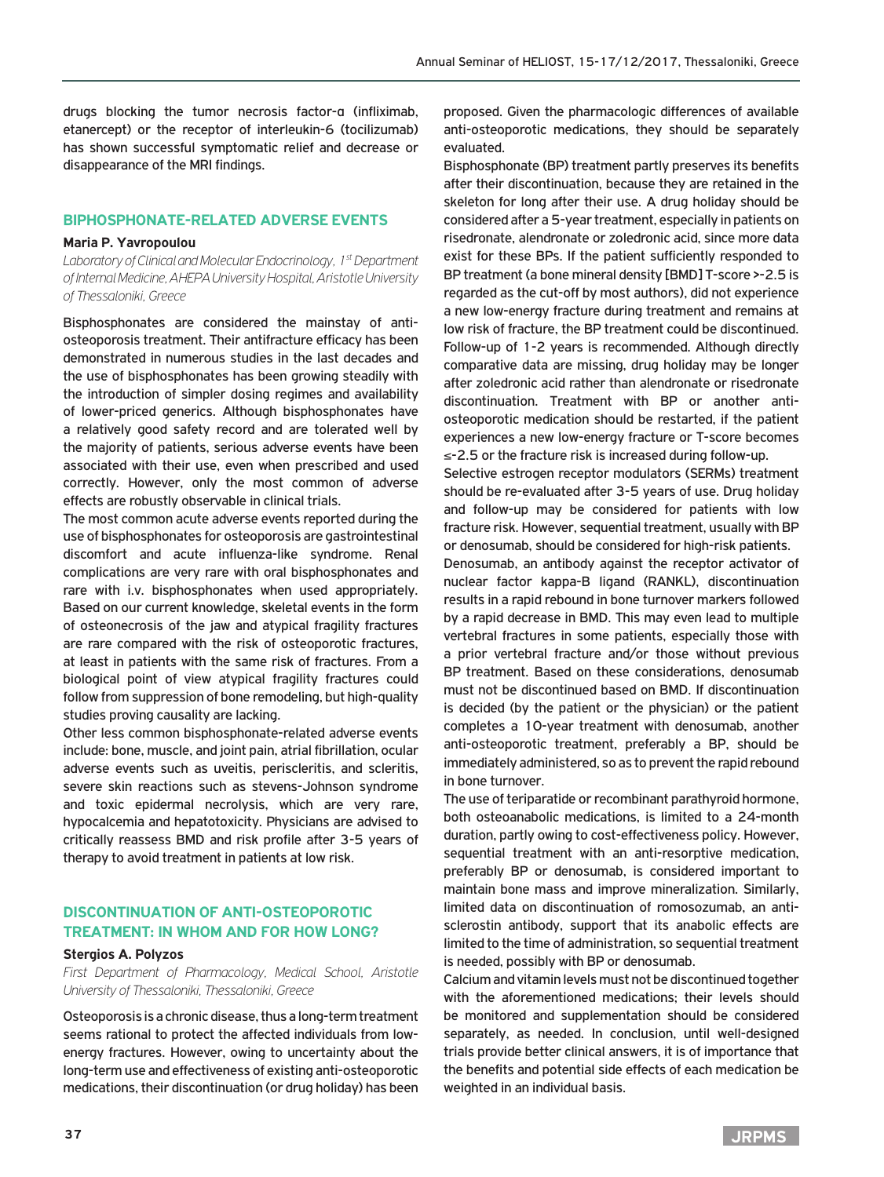drugs blocking the tumor necrosis factor-α (infliximab, etanercept) or the receptor of interleukin-6 (tocilizumab) has shown successful symptomatic relief and decrease or disappearance of the MRI findings.

### **Biphosphonate-related adverse events**

#### **Maria P. Yavropoulou**

*Laboratory of Clinical and Molecular Endocrinology, 1st Department of Internal Medicine, AHEPA University Hospital, Aristotle University of Thessaloniki, Greece*

Bisphosphonates are considered the mainstay of antiosteoporosis treatment. Their antifracture efficacy has been demonstrated in numerous studies in the last decades and the use of bisphosphonates has been growing steadily with the introduction of simpler dosing regimes and availability of lower-priced generics. Although bisphosphonates have a relatively good safety record and are tolerated well by the majority of patients, serious adverse events have been associated with their use, even when prescribed and used correctly. However, only the most common of adverse effects are robustly observable in clinical trials.

The most common acute adverse events reported during the use of bisphosphonates for osteoporosis are gastrointestinal discomfort and acute influenza-like syndrome. Renal complications are very rare with oral bisphosphonates and rare with i.v. bisphosphonates when used appropriately. Based on our current knowledge, skeletal events in the form of osteonecrosis of the jaw and atypical fragility fractures are rare compared with the risk of osteoporotic fractures, at least in patients with the same risk of fractures. From a biological point of view atypical fragility fractures could follow from suppression of bone remodeling, but high-quality studies proving causality are lacking.

Other less common bisphosphonate-related adverse events include: bone, muscle, and joint pain, atrial fibrillation, ocular adverse events such as uveitis, periscleritis, and scleritis, severe skin reactions such as stevens-Johnson syndrome and toxic epidermal necrolysis, which are very rare, hypocalcemia and hepatotoxicity. Physicians are advised to critically reassess BMD and risk profile after 3-5 years of therapy to avoid treatment in patients at low risk.

# **Discontinuation of anti-osteoporotic treatment: In whom and for how long?**

### **Stergios A. Polyzos**

*First Department of Pharmacology, Medical School, Aristotle University of Thessaloniki, Thessaloniki, Greece*

Osteoporosis is a chronic disease, thus a long-term treatment seems rational to protect the affected individuals from lowenergy fractures. However, owing to uncertainty about the long-term use and effectiveness of existing anti-osteoporotic medications, their discontinuation (or drug holiday) has been proposed. Given the pharmacologic differences of available anti-osteoporotic medications, they should be separately evaluated.

Bisphosphonate (BP) treatment partly preserves its benefits after their discontinuation, because they are retained in the skeleton for long after their use. A drug holiday should be considered after a 5-year treatment, especially in patients on risedronate, alendronate or zoledronic acid, since more data exist for these BPs. If the patient sufficiently responded to BP treatment (a bone mineral density [BMD] T-score >-2.5 is regarded as the cut-off by most authors), did not experience a new low-energy fracture during treatment and remains at low risk of fracture, the BP treatment could be discontinued. Follow-up of 1-2 years is recommended. Although directly comparative data are missing, drug holiday may be longer after zoledronic acid rather than alendronate or risedronate discontinuation. Treatment with BP or another antiosteoporotic medication should be restarted, if the patient experiences a new low-energy fracture or T-score becomes ≤-2.5 or the fracture risk is increased during follow-up.

Selective estrogen receptor modulators (SERMs) treatment should be re-evaluated after 3-5 years of use. Drug holiday and follow-up may be considered for patients with low fracture risk. However, sequential treatment, usually with BP or denosumab, should be considered for high-risk patients.

Denosumab, an antibody against the receptor activator of nuclear factor kappa-Β ligand (RANKL), discontinuation results in a rapid rebound in bone turnover markers followed by a rapid decrease in BMD. This may even lead to multiple vertebral fractures in some patients, especially those with a prior vertebral fracture and/or those without previous BP treatment. Based on these considerations, denosumab must not be discontinued based on BMD. If discontinuation is decided (by the patient or the physician) or the patient completes a 10-year treatment with denosumab, another anti-osteoporotic treatment, preferably a BP, should be immediately administered, so as to prevent the rapid rebound in bone turnover.

The use of teriparatide or recombinant parathyroid hormone, both osteoanabolic medications, is limited to a 24-month duration, partly owing to cost-effectiveness policy. However, sequential treatment with an anti-resorptive medication, preferably BP or denosumab, is considered important to maintain bone mass and improve mineralization. Similarly, limited data on discontinuation of romosozumab, an antisclerostin antibody, support that its anabolic effects are limited to the time of administration, so sequential treatment is needed, possibly with BP or denosumab.

Calcium and vitamin levels must not be discontinued together with the aforementioned medications; their levels should be monitored and supplementation should be considered separately, as needed. In conclusion, until well-designed trials provide better clinical answers, it is of importance that the benefits and potential side effects of each medication be weighted in an individual basis.